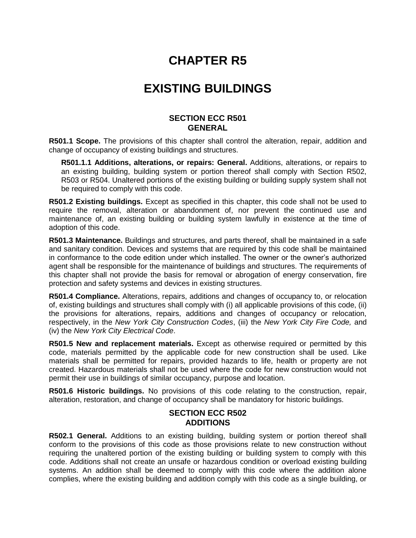# **CHAPTER R5**

# **EXISTING BUILDINGS**

#### **SECTION ECC R501 GENERAL**

**R501.1 Scope.** The provisions of this chapter shall control the alteration, repair, addition and change of occupancy of existing buildings and structures.

**R501.1.1 Additions, alterations, or repairs: General.** Additions, alterations, or repairs to an existing building, building system or portion thereof shall comply with Section R502, R503 or R504. Unaltered portions of the existing building or building supply system shall not be required to comply with this code.

**R501.2 Existing buildings.** Except as specified in this chapter, this code shall not be used to require the removal, alteration or abandonment of, nor prevent the continued use and maintenance of, an existing building or building system lawfully in existence at the time of adoption of this code.

**R501.3 Maintenance.** Buildings and structures, and parts thereof, shall be maintained in a safe and sanitary condition. Devices and systems that are required by this code shall be maintained in conformance to the code edition under which installed. The owner or the owner's authorized agent shall be responsible for the maintenance of buildings and structures. The requirements of this chapter shall not provide the basis for removal or abrogation of energy conservation, fire protection and safety systems and devices in existing structures.

**R501.4 Compliance.** Alterations, repairs, additions and changes of occupancy to, or relocation of, existing buildings and structures shall comply with (i) all applicable provisions of this code, (ii) the provisions for alterations, repairs, additions and changes of occupancy or relocation, respectively, in the *New York City Construction Codes*, (iii) the *New York City Fire Code,* and (iv) the *New York City Electrical Code*.

**R501.5 New and replacement materials.** Except as otherwise required or permitted by this code, materials permitted by the applicable code for new construction shall be used. Like materials shall be permitted for repairs, provided hazards to life, health or property are not created. Hazardous materials shall not be used where the code for new construction would not permit their use in buildings of similar occupancy, purpose and location.

**R501.6 Historic buildings.** No provisions of this code relating to the construction, repair, alteration, restoration, and change of occupancy shall be mandatory for historic buildings.

### **SECTION ECC R502 ADDITIONS**

**R502.1 General.** Additions to an existing building, building system or portion thereof shall conform to the provisions of this code as those provisions relate to new construction without requiring the unaltered portion of the existing building or building system to comply with this code. Additions shall not create an unsafe or hazardous condition or overload existing building systems. An addition shall be deemed to comply with this code where the addition alone complies, where the existing building and addition comply with this code as a single building, or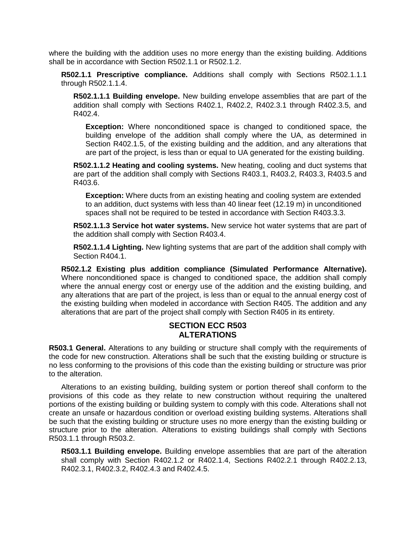where the building with the addition uses no more energy than the existing building. Additions shall be in accordance with Section R502.1.1 or R502.1.2.

**R502.1.1 Prescriptive compliance.** Additions shall comply with Sections R502.1.1.1 through R502.1.1.4.

**R502.1.1.1 Building envelope.** New building envelope assemblies that are part of the addition shall comply with Sections R402.1, R402.2, R402.3.1 through R402.3.5, and R402.4.

**Exception:** Where nonconditioned space is changed to conditioned space, the building envelope of the addition shall comply where the UA, as determined in Section R402.1.5, of the existing building and the addition, and any alterations that are part of the project, is less than or equal to UA generated for the existing building.

**R502.1.1.2 Heating and cooling systems.** New heating, cooling and duct systems that are part of the addition shall comply with Sections R403.1, R403.2, R403.3, R403.5 and R403.6.

**Exception:** Where ducts from an existing heating and cooling system are extended to an addition, duct systems with less than 40 linear feet (12.19 m) in unconditioned spaces shall not be required to be tested in accordance with Section R403.3.3.

**R502.1.1.3 Service hot water systems.** New service hot water systems that are part of the addition shall comply with Section R403.4.

**R502.1.1.4 Lighting.** New lighting systems that are part of the addition shall comply with Section R404.1.

**R502.1.2 Existing plus addition compliance (Simulated Performance Alternative).** Where nonconditioned space is changed to conditioned space, the addition shall comply where the annual energy cost or energy use of the addition and the existing building, and any alterations that are part of the project, is less than or equal to the annual energy cost of the existing building when modeled in accordance with Section R405. The addition and any alterations that are part of the project shall comply with Section R405 in its entirety.

## **SECTION ECC R503 ALTERATIONS**

**R503.1 General.** Alterations to any building or structure shall comply with the requirements of the code for new construction. Alterations shall be such that the existing building or structure is no less conforming to the provisions of this code than the existing building or structure was prior to the alteration.

Alterations to an existing building, building system or portion thereof shall conform to the provisions of this code as they relate to new construction without requiring the unaltered portions of the existing building or building system to comply with this code. Alterations shall not create an unsafe or hazardous condition or overload existing building systems. Alterations shall be such that the existing building or structure uses no more energy than the existing building or structure prior to the alteration. Alterations to existing buildings shall comply with Sections R503.1.1 through R503.2.

**R503.1.1 Building envelope.** Building envelope assemblies that are part of the alteration shall comply with Section R402.1.2 or R402.1.4, Sections R402.2.1 through R402.2.13, R402.3.1, R402.3.2, R402.4.3 and R402.4.5.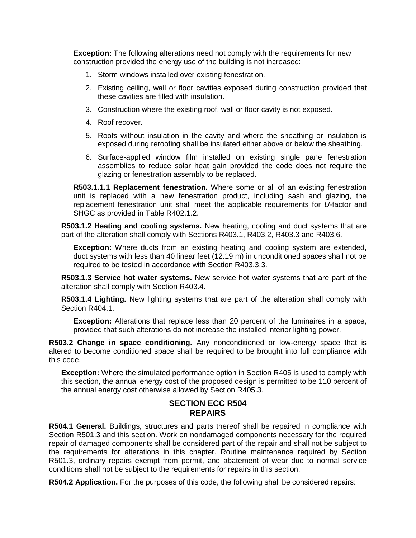**Exception:** The following alterations need not comply with the requirements for new construction provided the energy use of the building is not increased:

- 1. Storm windows installed over existing fenestration.
- 2. Existing ceiling, wall or floor cavities exposed during construction provided that these cavities are filled with insulation.
- 3. Construction where the existing roof, wall or floor cavity is not exposed.
- 4. Roof recover.
- 5. Roofs without insulation in the cavity and where the sheathing or insulation is exposed during reroofing shall be insulated either above or below the sheathing.
- 6. Surface-applied window film installed on existing single pane fenestration assemblies to reduce solar heat gain provided the code does not require the glazing or fenestration assembly to be replaced.

**R503.1.1.1 Replacement fenestration.** Where some or all of an existing fenestration unit is replaced with a new fenestration product, including sash and glazing, the replacement fenestration unit shall meet the applicable requirements for *U*-factor and SHGC as provided in Table R402.1.2.

**R503.1.2 Heating and cooling systems.** New heating, cooling and duct systems that are part of the alteration shall comply with Sections R403.1, R403.2, R403.3 and R403.6.

**Exception:** Where ducts from an existing heating and cooling system are extended, duct systems with less than 40 linear feet (12.19 m) in unconditioned spaces shall not be required to be tested in accordance with Section R403.3.3.

**R503.1.3 Service hot water systems.** New service hot water systems that are part of the alteration shall comply with Section R403.4.

**R503.1.4 Lighting.** New lighting systems that are part of the alteration shall comply with Section R404.1.

**Exception:** Alterations that replace less than 20 percent of the luminaires in a space, provided that such alterations do not increase the installed interior lighting power.

**R503.2 Change in space conditioning.** Any nonconditioned or low-energy space that is altered to become conditioned space shall be required to be brought into full compliance with this code.

**Exception:** Where the simulated performance option in Section R405 is used to comply with this section, the annual energy cost of the proposed design is permitted to be 110 percent of the annual energy cost otherwise allowed by Section R405.3.

### **SECTION ECC R504 REPAIRS**

**R504.1 General.** Buildings, structures and parts thereof shall be repaired in compliance with Section R501.3 and this section. Work on nondamaged components necessary for the required repair of damaged components shall be considered part of the repair and shall not be subject to the requirements for alterations in this chapter. Routine maintenance required by Section R501.3, ordinary repairs exempt from permit, and abatement of wear due to normal service conditions shall not be subject to the requirements for repairs in this section.

**R504.2 Application.** For the purposes of this code, the following shall be considered repairs: